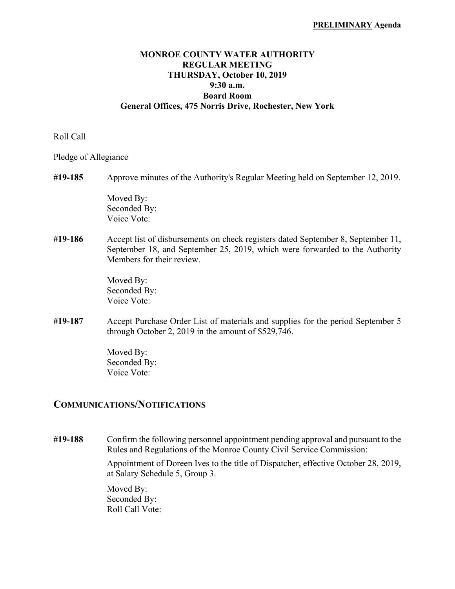# **MONROE COUNTY WATER AUTHORITY REGULAR MEETING THURSDAY, October 10, 2019 9:30 a.m. Board Room General Offices, 475 Norris Drive, Rochester, New York**

#### Roll Call

Pledge of Allegiance

| #19-185 | Approve minutes of the Authority's Regular Meeting held on September 12, 2019.                                                                                                               |
|---------|----------------------------------------------------------------------------------------------------------------------------------------------------------------------------------------------|
|         | Moved By:<br>Seconded By:<br>Voice Vote:                                                                                                                                                     |
| #19-186 | Accept list of disbursements on check registers dated September 8, September 11,<br>September 18, and September 25, 2019, which were forwarded to the Authority<br>Members for their review. |
|         | Moved By:<br>Seconded By:<br>Voice Vote:                                                                                                                                                     |
| #19-187 | Accept Purchase Order List of materials and supplies for the period September 5<br>through October 2, 2019 in the amount of $$529,746$ .                                                     |
|         | Moved By:<br>Seconded By:                                                                                                                                                                    |

# **COMMUNICATIONS/NOTIFICATIONS**

Voice Vote:

**#19-188** Confirm the following personnel appointment pending approval and pursuant to the Rules and Regulations of the Monroe County Civil Service Commission:

> Appointment of Doreen Ives to the title of Dispatcher, effective October 28, 2019, at Salary Schedule 5, Group 3.

 Moved By: Seconded By: Roll Call Vote: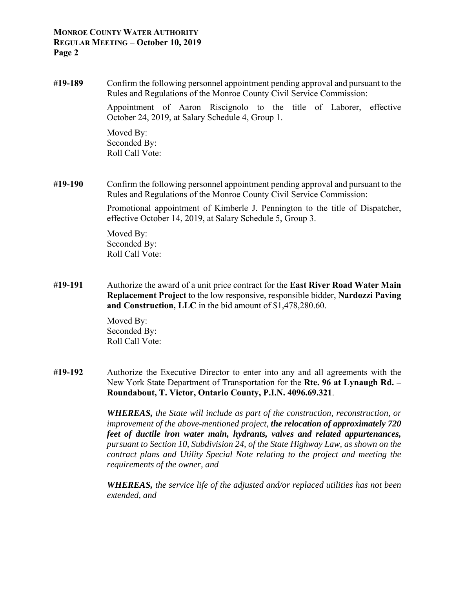### **MONROE COUNTY WATER AUTHORITY REGULAR MEETING – October 10, 2019 Page 2**

**#19-189** Confirm the following personnel appointment pending approval and pursuant to the Rules and Regulations of the Monroe County Civil Service Commission:

> Appointment of Aaron Riscignolo to the title of Laborer, effective October 24, 2019, at Salary Schedule 4, Group 1.

 Moved By: Seconded By: Roll Call Vote:

**#19-190** Confirm the following personnel appointment pending approval and pursuant to the Rules and Regulations of the Monroe County Civil Service Commission:

> Promotional appointment of Kimberle J. Pennington to the title of Dispatcher, effective October 14, 2019, at Salary Schedule 5, Group 3.

 Moved By: Seconded By: Roll Call Vote:

**#19-191** Authorize the award of a unit price contract for the **East River Road Water Main Replacement Project** to the low responsive, responsible bidder, **Nardozzi Paving and Construction, LLC** in the bid amount of \$1,478,280.60.

> Moved By: Seconded By: Roll Call Vote:

**#19-192** Authorize the Executive Director to enter into any and all agreements with the New York State Department of Transportation for the **Rte. 96 at Lynaugh Rd. – Roundabout, T. Victor, Ontario County, P.I.N. 4096.69.321**.

> *WHEREAS, the State will include as part of the construction, reconstruction, or improvement of the above-mentioned project, the relocation of approximately 720 feet of ductile iron water main, hydrants, valves and related appurtenances, pursuant to Section 10, Subdivision 24, of the State Highway Law, as shown on the contract plans and Utility Special Note relating to the project and meeting the requirements of the owner, and*

> *WHEREAS, the service life of the adjusted and/or replaced utilities has not been extended, and*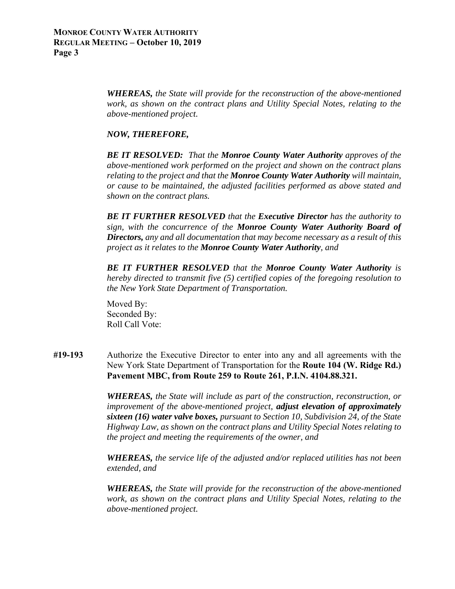*WHEREAS, the State will provide for the reconstruction of the above-mentioned work, as shown on the contract plans and Utility Special Notes, relating to the above-mentioned project.* 

### *NOW, THEREFORE,*

*BE IT RESOLVED: That the Monroe County Water Authority approves of the above-mentioned work performed on the project and shown on the contract plans relating to the project and that the Monroe County Water Authority will maintain, or cause to be maintained, the adjusted facilities performed as above stated and shown on the contract plans.* 

*BE IT FURTHER RESOLVED that the Executive Director has the authority to sign, with the concurrence of the Monroe County Water Authority Board of Directors, any and all documentation that may become necessary as a result of this project as it relates to the Monroe County Water Authority, and* 

*BE IT FURTHER RESOLVED that the Monroe County Water Authority is hereby directed to transmit five (5) certified copies of the foregoing resolution to the New York State Department of Transportation.* 

 Moved By: Seconded By: Roll Call Vote:

**#19-193** Authorize the Executive Director to enter into any and all agreements with the New York State Department of Transportation for the **Route 104 (W. Ridge Rd.) Pavement MBC, from Route 259 to Route 261, P.I.N. 4104.88.321.**

> *WHEREAS, the State will include as part of the construction, reconstruction, or improvement of the above-mentioned project, adjust elevation of approximately sixteen (16) water valve boxes, pursuant to Section 10, Subdivision 24, of the State Highway Law, as shown on the contract plans and Utility Special Notes relating to the project and meeting the requirements of the owner, and*

> *WHEREAS, the service life of the adjusted and/or replaced utilities has not been extended, and*

> *WHEREAS, the State will provide for the reconstruction of the above-mentioned work, as shown on the contract plans and Utility Special Notes, relating to the above-mentioned project.*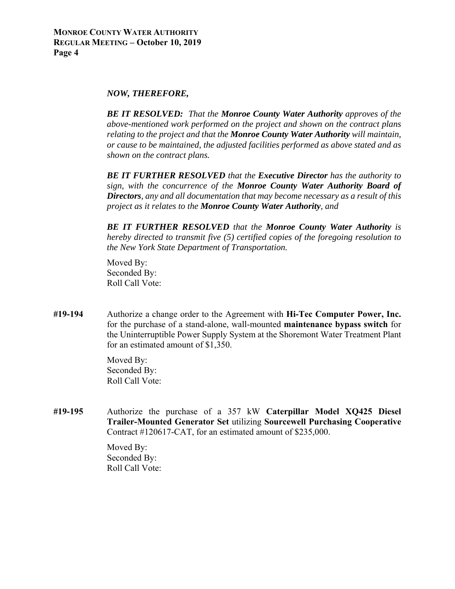#### *NOW, THEREFORE,*

 *BE IT RESOLVED: That the Monroe County Water Authority approves of the above-mentioned work performed on the project and shown on the contract plans relating to the project and that the Monroe County Water Authority will maintain, or cause to be maintained, the adjusted facilities performed as above stated and as shown on the contract plans.* 

*BE IT FURTHER RESOLVED that the Executive Director has the authority to sign, with the concurrence of the Monroe County Water Authority Board of Directors, any and all documentation that may become necessary as a result of this project as it relates to the Monroe County Water Authority, and* 

*BE IT FURTHER RESOLVED that the Monroe County Water Authority is hereby directed to transmit five (5) certified copies of the foregoing resolution to the New York State Department of Transportation.* 

 Moved By: Seconded By: Roll Call Vote:

**#19-194** Authorize a change order to the Agreement with **Hi-Tec Computer Power, Inc.** for the purchase of a stand-alone, wall-mounted **maintenance bypass switch** for the Uninterruptible Power Supply System at the Shoremont Water Treatment Plant for an estimated amount of \$1,350.

> Moved By: Seconded By: Roll Call Vote:

**#19-195** Authorize the purchase of a 357 kW **Caterpillar Model XQ425 Diesel Trailer-Mounted Generator Set** utilizing **Sourcewell Purchasing Cooperative** Contract #120617-CAT, for an estimated amount of \$235,000.

> Moved By: Seconded By: Roll Call Vote: